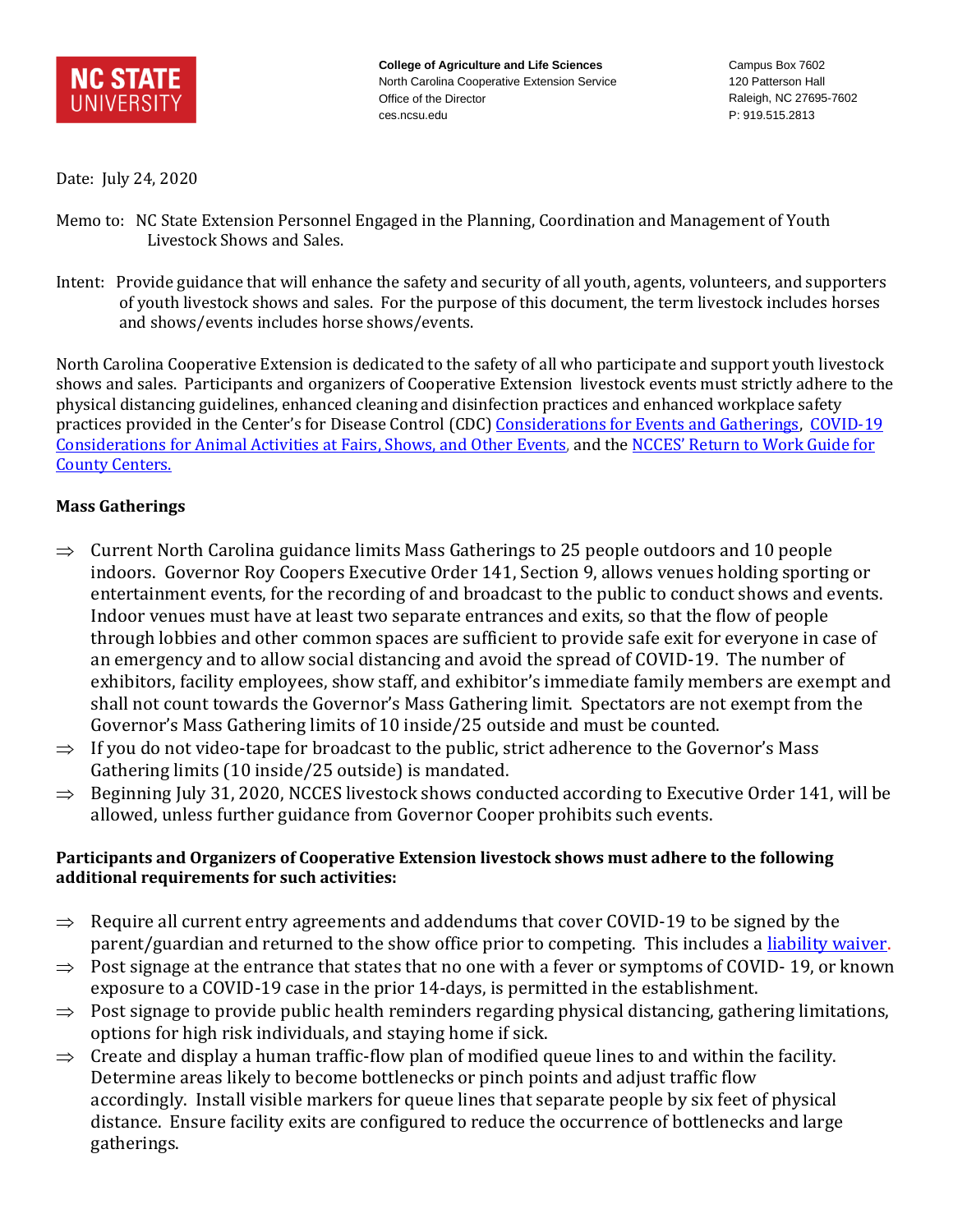

**College of Agriculture and Life Sciences** North Carolina Cooperative Extension Service Office of the Director ces.ncsu.edu

Campus Box 7602 120 Patterson Hall Raleigh, NC 27695-7602 P: 919.515.2813

Date: July 24, 2020

- Memo to: NC State Extension Personnel Engaged in the Planning, Coordination and Management of Youth Livestock Shows and Sales.
- Intent: Provide guidance that will enhance the safety and security of all youth, agents, volunteers, and supporters of youth livestock shows and sales. For the purpose of this document, the term livestock includes horses and shows/events includes horse shows/events.

North Carolina Cooperative Extension is dedicated to the safety of all who participate and support youth livestock shows and sales. Participants and organizers of Cooperative Extension livestock events must strictly adhere to the physical distancing guidelines, enhanced cleaning and disinfection practices and enhanced workplace safety practices provided in the Center's for Disease Control (CDC) [Considerations for Events and Gatherings,](https://www.cdc.gov/coronavirus/2019-ncov/community/large-events/considerations-for-events-gatherings.html) COVID-19 [Considerations for Animal Activities at Fairs, Shows, and Other Events,](https://www.cdc.gov/coronavirus/2019-ncov/animals/events-animal-activities.html) and the [NCCES' Return to Work Guide for](https://intranet.ces.ncsu.edu/2020/06/extension-return-to-work-guide-for-county-centers/)  [County Centers.](https://intranet.ces.ncsu.edu/2020/06/extension-return-to-work-guide-for-county-centers/)

## **Mass Gatherings**

- $\Rightarrow$  Current North Carolina guidance limits Mass Gatherings to 25 people outdoors and 10 people indoors. Governor Roy Coopers Executive Order 141, Section 9, allows venues holding sporting or entertainment events, for the recording of and broadcast to the public to conduct shows and events. Indoor venues must have at least two separate entrances and exits, so that the flow of people through lobbies and other common spaces are sufficient to provide safe exit for everyone in case of an emergency and to allow social distancing and avoid the spread of COVID-19. The number of exhibitors, facility employees, show staff, and exhibitor's immediate family members are exempt and shall not count towards the Governor's Mass Gathering limit. Spectators are not exempt from the Governor's Mass Gathering limits of 10 inside/25 outside and must be counted.
- $\Rightarrow$  If you do not video-tape for broadcast to the public, strict adherence to the Governor's Mass Gathering limits (10 inside/25 outside) is mandated.
- $\Rightarrow$  Beginning July 31, 2020, NCCES livestock shows conducted according to Executive Order 141, will be allowed, unless further guidance from Governor Cooper prohibits such events.

## **Participants and Organizers of Cooperative Extension livestock shows must adhere to the following additional requirements for such activities:**

- $\Rightarrow$  Require all current entry agreements and addendums that cover COVID-19 to be signed by the parent/guardian and returned to the show office prior to competing. This includes a [liability waiver.](https://docs.google.com/forms/d/1OB4fO70wwCL7YO1qA72R2PIuh2dLq_tWZ9wFbvT5f38/edit)
- $\Rightarrow$  Post signage at the entrance that states that no one with a fever or symptoms of COVID-19, or known exposure to a COVID-19 case in the prior 14-days, is permitted in the establishment.
- $\Rightarrow$  Post signage to provide public health reminders regarding physical distancing, gathering limitations, options for high risk individuals, and staying home if sick.
- $\Rightarrow$  Create and display a human traffic-flow plan of modified queue lines to and within the facility. Determine areas likely to become bottlenecks or pinch points and adjust traffic flow accordingly. Install visible markers for queue lines that separate people by six feet of physical distance. Ensure facility exits are configured to reduce the occurrence of bottlenecks and large gatherings.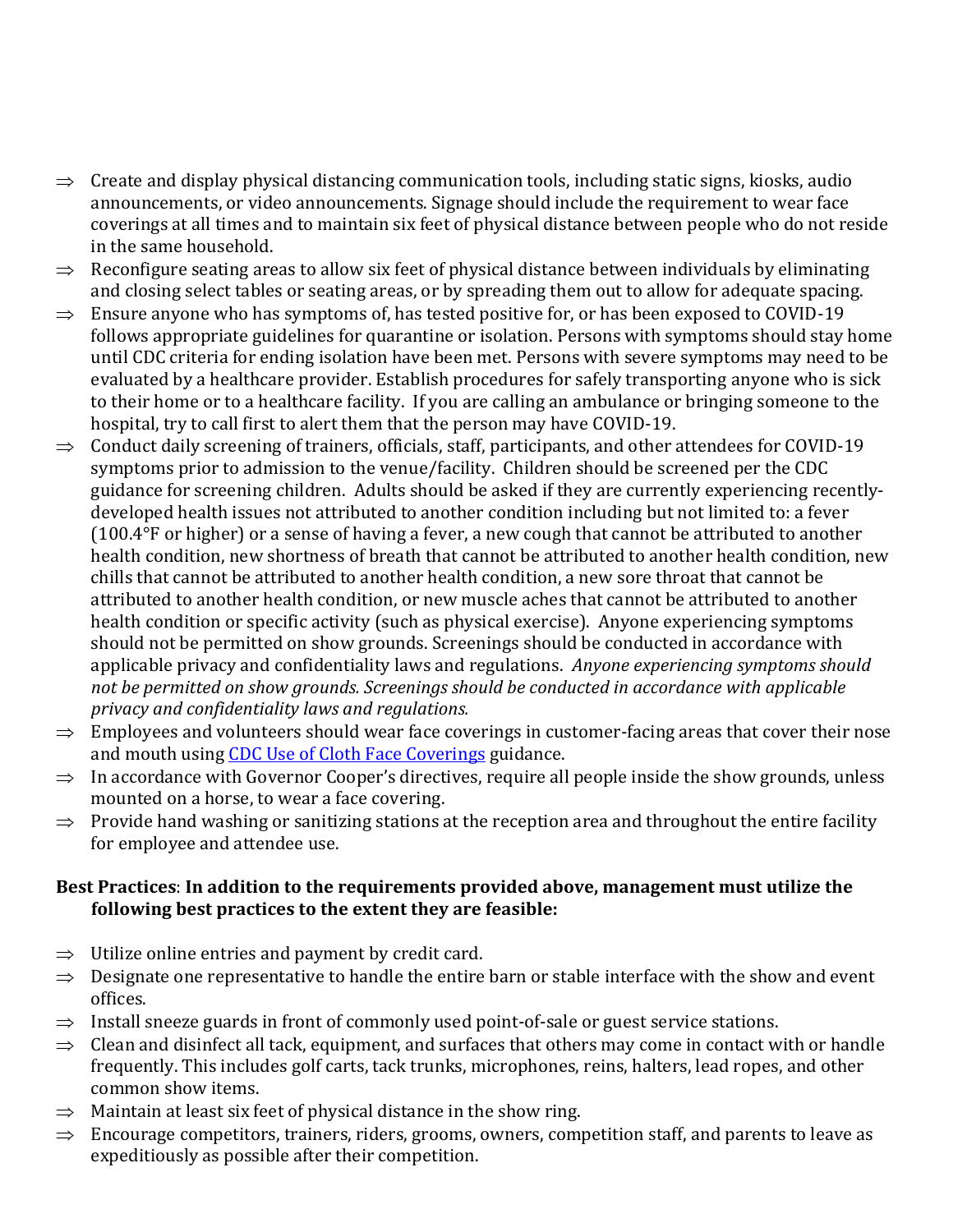- $\Rightarrow$  Create and display physical distancing communication tools, including static signs, kiosks, audio announcements, or video announcements. Signage should include the requirement to wear face coverings at all times and to maintain six feet of physical distance between people who do not reside in the same household.
- $\Rightarrow$  Reconfigure seating areas to allow six feet of physical distance between individuals by eliminating and closing select tables or seating areas, or by spreading them out to allow for adequate spacing.
- $\Rightarrow$  Ensure anyone who has symptoms of, has tested positive for, or has been exposed to COVID-19 follows appropriate guidelines for quarantine or isolation. Persons with symptoms should stay home until CDC criteria for ending isolation have been met. Persons with severe symptoms may need to be evaluated by a healthcare provider. Establish procedures for safely transporting anyone who is sick to their home or to a healthcare facility. If you are calling an ambulance or bringing someone to the hospital, try to call first to alert them that the person may have COVID-19.
- $\Rightarrow$  Conduct daily screening of trainers, officials, staff, participants, and other attendees for COVID-19 symptoms prior to admission to the venue/facility. Children should be screened per the CDC guidance for screening children. Adults should be asked if they are currently experiencing recentlydeveloped health issues not attributed to another condition including but not limited to: a fever  $(100.4\textdegree)$  or higher) or a sense of having a fever, a new cough that cannot be attributed to another health condition, new shortness of breath that cannot be attributed to another health condition, new chills that cannot be attributed to another health condition, a new sore throat that cannot be attributed to another health condition, or new muscle aches that cannot be attributed to another health condition or specific activity (such as physical exercise). Anyone experiencing symptoms should not be permitted on show grounds. Screenings should be conducted in accordance with applicable privacy and confidentiality laws and regulations. *Anyone experiencing symptoms should not be permitted on show grounds. Screenings should be conducted in accordance with applicable privacy and confidentiality laws and regulations.*
- $\Rightarrow$  Employees and volunteers should wear face coverings in customer-facing areas that cover their nose and mouth using [CDC Use of Cloth Face Coverings](https://www.cdc.gov/coronavirus/2019-ncov/prevent-getting-sick/diy-cloth-face-coverings.html) guidance.
- $\Rightarrow$  In accordance with Governor Cooper's directives, require all people inside the show grounds, unless mounted on a horse, to wear a face covering.
- $\Rightarrow$  Provide hand washing or sanitizing stations at the reception area and throughout the entire facility for employee and attendee use.

## **Best Practices**: **In addition to the requirements provided above, management must utilize the following best practices to the extent they are feasible:**

- $\Rightarrow$  Utilize online entries and payment by credit card.
- $\Rightarrow$  Designate one representative to handle the entire barn or stable interface with the show and event offices.
- $\Rightarrow$  Install sneeze guards in front of commonly used point-of-sale or guest service stations.
- $\Rightarrow$  Clean and disinfect all tack, equipment, and surfaces that others may come in contact with or handle frequently. This includes golf carts, tack trunks, microphones, reins, halters, lead ropes, and other common show items.
- $\Rightarrow$  Maintain at least six feet of physical distance in the show ring.
- $\Rightarrow$  Encourage competitors, trainers, riders, grooms, owners, competition staff, and parents to leave as expeditiously as possible after their competition.